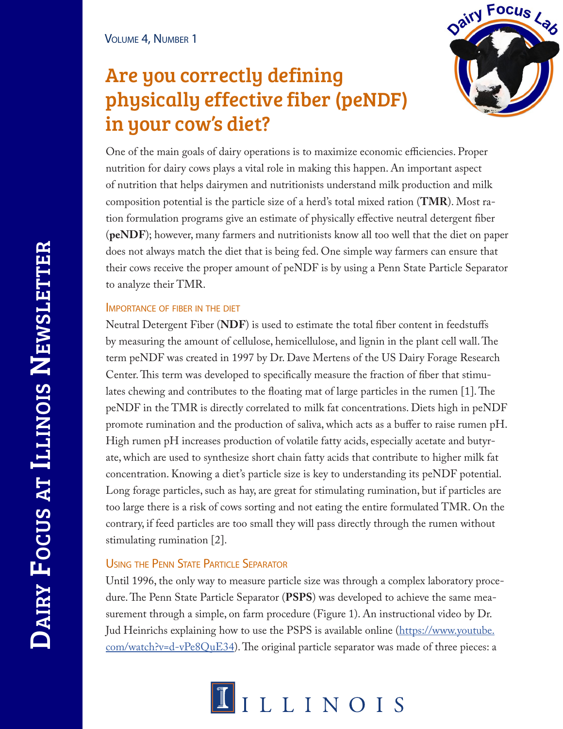# Are you correctly defining physically effective fiber (peNDF) in your cow's diet?



One of the main goals of dairy operations is to maximize economic efficiencies. Proper nutrition for dairy cows plays a vital role in making this happen. An important aspect of nutrition that helps dairymen and nutritionists understand milk production and milk composition potential is the particle size of a herd's total mixed ration (**TMR**). Most ration formulation programs give an estimate of physically effective neutral detergent fiber (**peNDF**); however, many farmers and nutritionists know all too well that the diet on paper does not always match the diet that is being fed. One simple way farmers can ensure that their cows receive the proper amount of peNDF is by using a Penn State Particle Separator to analyze their TMR.

## Importance of fiber in the diet

Neutral Detergent Fiber (**NDF**) is used to estimate the total fiber content in feedstuffs by measuring the amount of cellulose, hemicellulose, and lignin in the plant cell wall. The term peNDF was created in 1997 by Dr. Dave Mertens of the US Dairy Forage Research Center. This term was developed to specifically measure the fraction of fiber that stimulates chewing and contributes to the floating mat of large particles in the rumen [1]. The peNDF in the TMR is directly correlated to milk fat concentrations. Diets high in peNDF promote rumination and the production of saliva, which acts as a buffer to raise rumen pH. High rumen pH increases production of volatile fatty acids, especially acetate and butyrate, which are used to synthesize short chain fatty acids that contribute to higher milk fat concentration. Knowing a diet's particle size is key to understanding its peNDF potential. Long forage particles, such as hay, are great for stimulating rumination, but if particles are too large there is a risk of cows sorting and not eating the entire formulated TMR. On the contrary, if feed particles are too small they will pass directly through the rumen without stimulating rumination [2].

## Using the Penn State Particle Separator

Until 1996, the only way to measure particle size was through a complex laboratory procedure. The Penn State Particle Separator (**PSPS**) was developed to achieve the same measurement through a simple, on farm procedure (Figure 1). An instructional video by Dr. Jud Heinrichs explaining how to use the PSPS is available online (https://www.youtube.  $com/watch: v = d - vPe8QuE34$ ). The original particle separator was made of three pieces: a

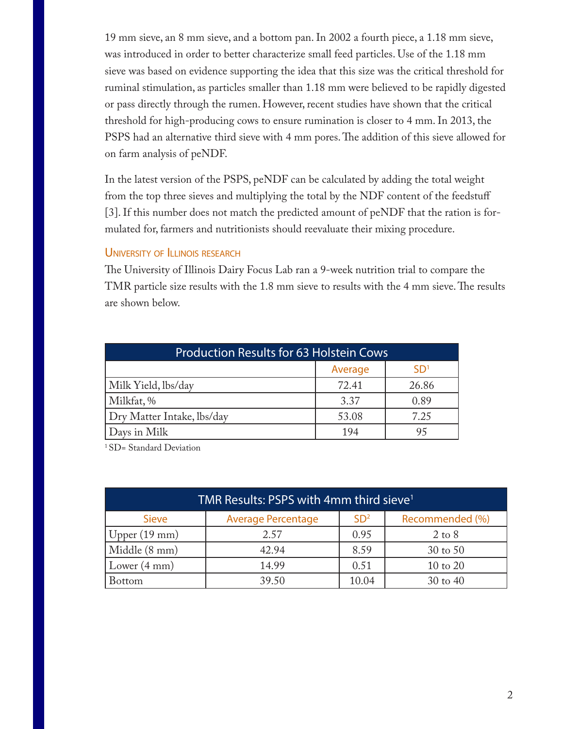19 mm sieve, an 8 mm sieve, and a bottom pan. In 2002 a fourth piece, a 1.18 mm sieve, was introduced in order to better characterize small feed particles. Use of the 1.18 mm sieve was based on evidence supporting the idea that this size was the critical threshold for ruminal stimulation, as particles smaller than 1.18 mm were believed to be rapidly digested or pass directly through the rumen. However, recent studies have shown that the critical threshold for high-producing cows to ensure rumination is closer to 4 mm. In 2013, the PSPS had an alternative third sieve with 4 mm pores. The addition of this sieve allowed for on farm analysis of peNDF.

In the latest version of the PSPS, peNDF can be calculated by adding the total weight from the top three sieves and multiplying the total by the NDF content of the feedstuff [3]. If this number does not match the predicted amount of peNDF that the ration is formulated for, farmers and nutritionists should reevaluate their mixing procedure.

### UNIVERSITY OF ILLINOIS RESEARCH

The University of Illinois Dairy Focus Lab ran a 9-week nutrition trial to compare the TMR particle size results with the 1.8 mm sieve to results with the 4 mm sieve. The results are shown below.

| <b>Production Results for 63 Holstein Cows</b> |         |                 |  |  |
|------------------------------------------------|---------|-----------------|--|--|
|                                                | Average | SD <sup>1</sup> |  |  |
| Milk Yield, lbs/day                            | 72.41   | 26.86           |  |  |
| Milkfat, %                                     | 3.37    | 0.89            |  |  |
| Dry Matter Intake, lbs/day                     | 53.08   | 7.25            |  |  |
| Days in Milk                                   | 194     |                 |  |  |

<sup>1</sup> SD= Standard Deviation

| TMR Results: PSPS with 4mm third sieve <sup>1</sup> |                           |                 |                   |  |
|-----------------------------------------------------|---------------------------|-----------------|-------------------|--|
| <b>Sieve</b>                                        | <b>Average Percentage</b> | SD <sup>2</sup> | Recommended (%)   |  |
| Upper $(19 \text{ mm})$                             | 2.57                      | 0.95            | $2 \text{ to } 8$ |  |
| Middle (8 mm)                                       | 42.94                     | 8.59            | 30 to 50          |  |
| Lower $(4 \text{ mm})$                              | 14.99                     | 0.51            | 10 to 20          |  |
| <b>Bottom</b>                                       | 39.50                     | 10.04           | $30$ to $40$      |  |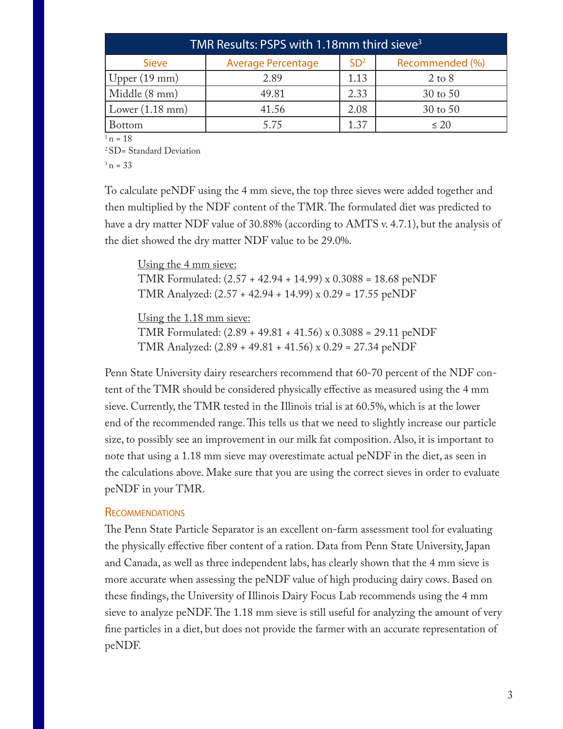| TMR Results: PSPS with 1.18mm third sieve <sup>3</sup> |                           |                 |                   |  |  |
|--------------------------------------------------------|---------------------------|-----------------|-------------------|--|--|
| <b>Sieve</b>                                           | <b>Average Percentage</b> | SD <sup>2</sup> | Recommended (%)   |  |  |
| Upper $(19 \text{ mm})$                                | 2.89                      | 1.13            | $2 \text{ to } 8$ |  |  |
| Middle (8 mm)                                          | 49.81                     | 2.33            | 30 to 50          |  |  |
| Lower $(1.18 \text{ mm})$                              | 41.56                     | 2.08            | 30 to 50          |  |  |
| <b>Bottom</b>                                          | 5.75                      | 1.37            | $\leq 20$         |  |  |

 $1 n = 18$ 

2 SD= Standard Deviation

 $3 n = 33$ 

To calculate peNDF using the 4 mm sieve, the top three sieves were added together and then multiplied by the NDF content of the TMR. The formulated diet was predicted to have a dry matter NDF value of 30.88% (according to AMTS v. 4.7.1), but the analysis of the diet showed the dry matter NDF value to be 29.0%.

Using the 4 mm sieve: TMR Formulated: (2.57 + 42.94 + 14.99) x 0.3088 = 18.68 peNDF TMR Analyzed: (2.57 + 42.94 + 14.99) x 0.29 = 17.55 peNDF

Using the 1.18 mm sieve:

TMR Formulated: (2.89 + 49.81 + 41.56) x 0.3088 = 29.11 peNDF TMR Analyzed: (2.89 + 49.81 + 41.56) x 0.29 = 27.34 peNDF

Penn State University dairy researchers recommend that 60-70 percent of the NDF content of the TMR should be considered physically effective as measured using the 4 mm sieve. Currently, the TMR tested in the Illinois trial is at 60.5%, which is at the lower end of the recommended range. This tells us that we need to slightly increase our particle size, to possibly see an improvement in our milk fat composition. Also, it is important to note that using a 1.18 mm sieve may overestimate actual peNDF in the diet, as seen in the calculations above. Make sure that you are using the correct sieves in order to evaluate peNDF in your TMR.

#### **RECOMMENDATIONS**

The Penn State Particle Separator is an excellent on-farm assessment tool for evaluating the physically effective fiber content of a ration. Data from Penn State University, Japan and Canada, as well as three independent labs, has clearly shown that the 4 mm sieve is more accurate when assessing the peNDF value of high producing dairy cows. Based on these findings, the University of Illinois Dairy Focus Lab recommends using the 4 mm sieve to analyze peNDF. The 1.18 mm sieve is still useful for analyzing the amount of very fine particles in a diet, but does not provide the farmer with an accurate representation of peNDF.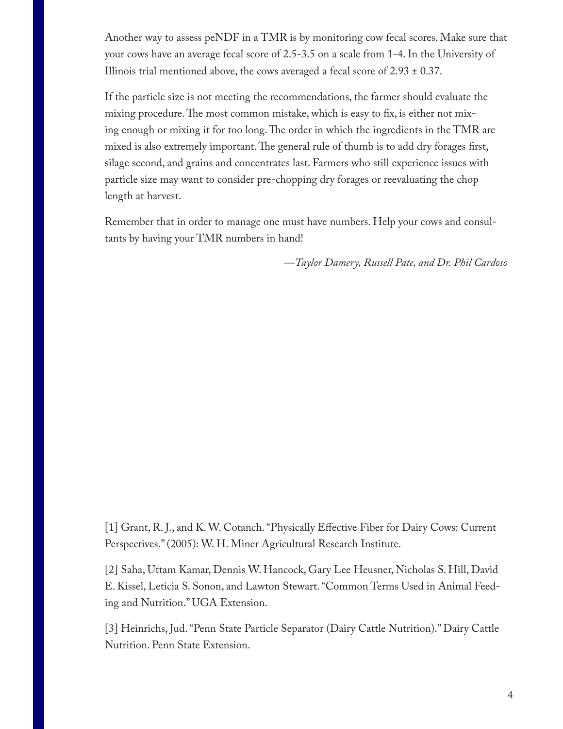Another way to assess peNDF in a TMR is by monitoring cow fecal scores. Make sure that your cows have an average fecal score of 2.5-3.5 on a scale from 1-4. In the University of Illinois trial mentioned above, the cows averaged a fecal score of  $2.93 \pm 0.37$ .

If the particle size is not meeting the recommendations, the farmer should evaluate the mixing procedure. The most common mistake, which is easy to fix, is either not mixing enough or mixing it for too long. The order in which the ingredients in the TMR are mixed is also extremely important. The general rule of thumb is to add dry forages first, silage second, and grains and concentrates last. Farmers who still experience issues with particle size may want to consider pre-chopping dry forages or reevaluating the chop length at harvest.

Remember that in order to manage one must have numbers. Help your cows and consultants by having your TMR numbers in hand!

*—Taylor Damery, Russell Pate, and Dr. Phil Cardoso*

[1] Grant, R. J., and K. W. Cotanch. "Physically Effective Fiber for Dairy Cows: Current Perspectives." (2005): W. H. Miner Agricultural Research Institute.

[2] Saha, Uttam Kamar, Dennis W. Hancock, Gary Lee Heusner, Nicholas S. Hill, David E. Kissel, Leticia S. Sonon, and Lawton Stewart. "Common Terms Used in Animal Feeding and Nutrition." UGA Extension.

[3] Heinrichs, Jud. "Penn State Particle Separator (Dairy Cattle Nutrition)." Dairy Cattle Nutrition. Penn State Extension.